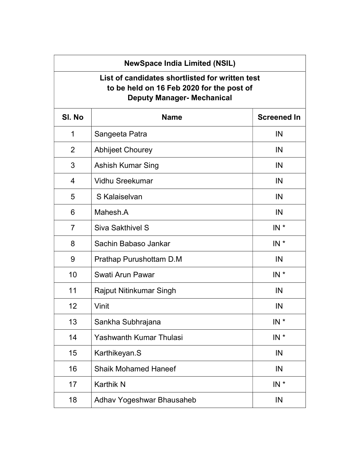## NewSpace India Limited (NSIL)

## List of candidates shortlisted for written test to be held on 16 Feb 2020 for the post of Deputy Manager- Mechanical

| SI. No         | <b>Name</b>                    | <b>Screened In</b> |
|----------------|--------------------------------|--------------------|
| 1              | Sangeeta Patra                 | IN                 |
| $\overline{2}$ | <b>Abhijeet Chourey</b>        | IN                 |
| 3              | <b>Ashish Kumar Sing</b>       | IN                 |
| $\overline{4}$ | <b>Vidhu Sreekumar</b>         | IN                 |
| 5              | S Kalaiselvan                  | IN                 |
| 6              | Mahesh.A                       | IN                 |
| $\overline{7}$ | <b>Siva Sakthivel S</b>        | $IN^*$             |
| 8              | Sachin Babaso Jankar           | $IN$ *             |
| 9              | Prathap Purushottam D.M        | IN                 |
| 10             | Swati Arun Pawar               | $IN$ *             |
| 11             | <b>Rajput Nitinkumar Singh</b> | IN                 |
| 12             | Vinit                          | IN                 |
| 13             | Sankha Subhrajana              | $IN$ *             |
| 14             | <b>Yashwanth Kumar Thulasi</b> | $IN^*$             |
| 15             | Karthikeyan.S                  | IN                 |
| 16             | <b>Shaik Mohamed Haneef</b>    | IN                 |
| 17             | <b>Karthik N</b>               | $IN^*$             |
| 18             | Adhav Yogeshwar Bhausaheb      | IN                 |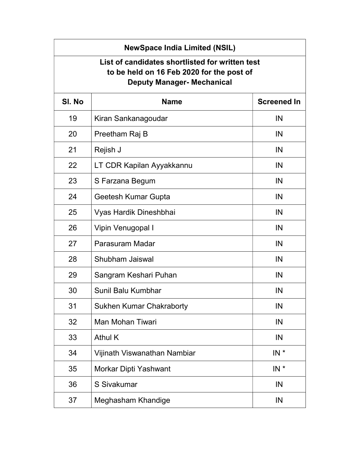| <b>NewSpace India Limited (NSIL)</b>                                                                                              |                                 |                    |
|-----------------------------------------------------------------------------------------------------------------------------------|---------------------------------|--------------------|
| List of candidates shortlisted for written test<br>to be held on 16 Feb 2020 for the post of<br><b>Deputy Manager- Mechanical</b> |                                 |                    |
| SI. No                                                                                                                            | <b>Name</b>                     | <b>Screened In</b> |
| 19                                                                                                                                | Kiran Sankanagoudar             | IN                 |
| 20                                                                                                                                | Preetham Raj B                  | IN                 |
| 21                                                                                                                                | Rejish J                        | IN                 |
| 22                                                                                                                                | LT CDR Kapilan Ayyakkannu       | IN                 |
| 23                                                                                                                                | S Farzana Begum                 | IN                 |
| 24                                                                                                                                | Geetesh Kumar Gupta             | IN                 |
| 25                                                                                                                                | Vyas Hardik Dineshbhai          | IN                 |
| 26                                                                                                                                | Vipin Venugopal I               | IN                 |
| 27                                                                                                                                | Parasuram Madar                 | IN                 |
| 28                                                                                                                                | Shubham Jaiswal                 | IN                 |
| 29                                                                                                                                | Sangram Keshari Puhan           | IN                 |
| 30                                                                                                                                | Sunil Balu Kumbhar              | IN                 |
| 31                                                                                                                                | <b>Sukhen Kumar Chakraborty</b> | IN                 |
| 32                                                                                                                                | <b>Man Mohan Tiwari</b>         | IN                 |
| 33                                                                                                                                | <b>Athul K</b>                  | IN                 |
| 34                                                                                                                                | Vijinath Viswanathan Nambiar    | $IN^*$             |
| 35                                                                                                                                | Morkar Dipti Yashwant           | $IN^*$             |
| 36                                                                                                                                | S Sivakumar                     | IN                 |
| 37                                                                                                                                | Meghasham Khandige              | IN                 |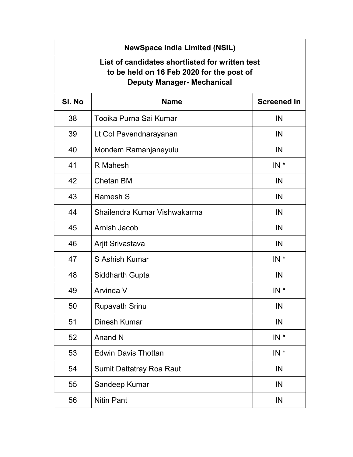| <b>NewSpace India Limited (NSIL)</b>                                                                                              |                                 |                    |
|-----------------------------------------------------------------------------------------------------------------------------------|---------------------------------|--------------------|
| List of candidates shortlisted for written test<br>to be held on 16 Feb 2020 for the post of<br><b>Deputy Manager- Mechanical</b> |                                 |                    |
| SI. No                                                                                                                            | <b>Name</b>                     | <b>Screened In</b> |
| 38                                                                                                                                | Tooika Purna Sai Kumar          | IN                 |
| 39                                                                                                                                | Lt Col Pavendnarayanan          | IN                 |
| 40                                                                                                                                | Mondem Ramanjaneyulu            | IN                 |
| 41                                                                                                                                | R Mahesh                        | $IN^*$             |
| 42                                                                                                                                | <b>Chetan BM</b>                | IN                 |
| 43                                                                                                                                | Ramesh S                        | IN                 |
| 44                                                                                                                                | Shailendra Kumar Vishwakarma    | IN                 |
| 45                                                                                                                                | Arnish Jacob                    | IN                 |
| 46                                                                                                                                | Arjit Srivastava                | IN                 |
| 47                                                                                                                                | S Ashish Kumar                  | $IN^*$             |
| 48                                                                                                                                | <b>Siddharth Gupta</b>          | IN                 |
| 49                                                                                                                                | Arvinda V                       | $IN^*$             |
| 50                                                                                                                                | <b>Rupavath Srinu</b>           | IN                 |
| 51                                                                                                                                | Dinesh Kumar                    | IN                 |
| 52                                                                                                                                | Anand N                         | $IN^*$             |
| 53                                                                                                                                | <b>Edwin Davis Thottan</b>      | $IN^*$             |
| 54                                                                                                                                | <b>Sumit Dattatray Roa Raut</b> | IN                 |
| 55                                                                                                                                | Sandeep Kumar                   | IN                 |
| 56                                                                                                                                | <b>Nitin Pant</b>               | IN                 |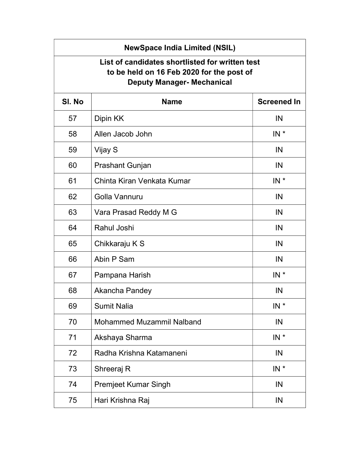| <b>NewSpace India Limited (NSIL)</b>                                                                                              |                                  |                    |
|-----------------------------------------------------------------------------------------------------------------------------------|----------------------------------|--------------------|
| List of candidates shortlisted for written test<br>to be held on 16 Feb 2020 for the post of<br><b>Deputy Manager- Mechanical</b> |                                  |                    |
| SI. No                                                                                                                            | <b>Name</b>                      | <b>Screened In</b> |
| 57                                                                                                                                | Dipin KK                         | IN                 |
| 58                                                                                                                                | Allen Jacob John                 | $IN^*$             |
| 59                                                                                                                                | Vijay S                          | IN                 |
| 60                                                                                                                                | Prashant Gunjan                  | IN                 |
| 61                                                                                                                                | Chinta Kiran Venkata Kumar       | $IN^*$             |
| 62                                                                                                                                | Golla Vannuru                    | IN                 |
| 63                                                                                                                                | Vara Prasad Reddy M G            | IN                 |
| 64                                                                                                                                | Rahul Joshi                      | IN                 |
| 65                                                                                                                                | Chikkaraju K S                   | IN                 |
| 66                                                                                                                                | Abin P Sam                       | IN                 |
| 67                                                                                                                                | Pampana Harish                   | $IN^*$             |
| 68                                                                                                                                | Akancha Pandey                   | IN                 |
| 69                                                                                                                                | <b>Sumit Nalia</b>               | $IN^*$             |
| 70                                                                                                                                | <b>Mohammed Muzammil Nalband</b> | IN                 |
| 71                                                                                                                                | Akshaya Sharma                   | $IN^*$             |
| 72                                                                                                                                | Radha Krishna Katamaneni         | IN                 |
| 73                                                                                                                                | Shreeraj R                       | $IN^*$             |
| 74                                                                                                                                | <b>Premjeet Kumar Singh</b>      | IN                 |
| 75                                                                                                                                | Hari Krishna Raj                 | IN                 |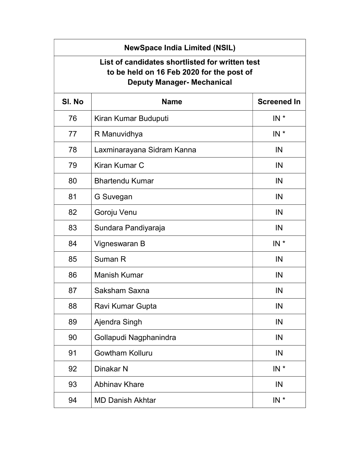| <b>NewSpace India Limited (NSIL)</b>                                                                                              |                            |                    |
|-----------------------------------------------------------------------------------------------------------------------------------|----------------------------|--------------------|
| List of candidates shortlisted for written test<br>to be held on 16 Feb 2020 for the post of<br><b>Deputy Manager- Mechanical</b> |                            |                    |
| SI. No                                                                                                                            | <b>Name</b>                | <b>Screened In</b> |
| 76                                                                                                                                | Kiran Kumar Buduputi       | $IN^*$             |
| 77                                                                                                                                | R Manuvidhya               | $IN^*$             |
| 78                                                                                                                                | Laxminarayana Sidram Kanna | IN                 |
| 79                                                                                                                                | Kiran Kumar C              | IN                 |
| 80                                                                                                                                | <b>Bhartendu Kumar</b>     | IN                 |
| 81                                                                                                                                | G Suvegan                  | IN                 |
| 82                                                                                                                                | Goroju Venu                | IN                 |
| 83                                                                                                                                | Sundara Pandiyaraja        | IN                 |
| 84                                                                                                                                | Vigneswaran B              | $IN^*$             |
| 85                                                                                                                                | Suman R                    | IN                 |
| 86                                                                                                                                | <b>Manish Kumar</b>        | IN                 |
| 87                                                                                                                                | Saksham Saxna              | IN                 |
| 88                                                                                                                                | Ravi Kumar Gupta           | IN                 |
| 89                                                                                                                                | Ajendra Singh              | IN                 |
| 90                                                                                                                                | Gollapudi Nagphanindra     | IN                 |
| 91                                                                                                                                | <b>Gowtham Kolluru</b>     | IN                 |
| 92                                                                                                                                | Dinakar N                  | $IN^*$             |
| 93                                                                                                                                | <b>Abhinav Khare</b>       | IN                 |
| 94                                                                                                                                | <b>MD Danish Akhtar</b>    | $IN *$             |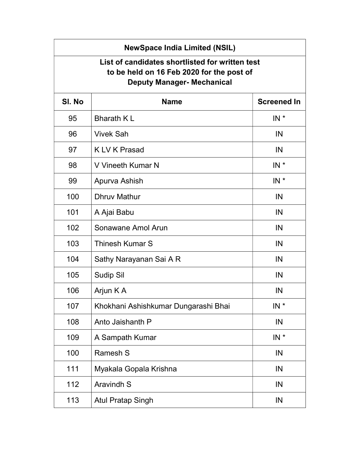| <b>NewSpace India Limited (NSIL)</b>                                                                                              |                                      |                    |
|-----------------------------------------------------------------------------------------------------------------------------------|--------------------------------------|--------------------|
| List of candidates shortlisted for written test<br>to be held on 16 Feb 2020 for the post of<br><b>Deputy Manager- Mechanical</b> |                                      |                    |
| SI. No                                                                                                                            | <b>Name</b>                          | <b>Screened In</b> |
| 95                                                                                                                                | <b>Bharath KL</b>                    | $IN^*$             |
| 96                                                                                                                                | <b>Vivek Sah</b>                     | IN                 |
| 97                                                                                                                                | K LV K Prasad                        | IN                 |
| 98                                                                                                                                | V Vineeth Kumar N                    | $IN^*$             |
| 99                                                                                                                                | Apurva Ashish                        | $IN^*$             |
| 100                                                                                                                               | <b>Dhruv Mathur</b>                  | IN                 |
| 101                                                                                                                               | A Ajai Babu                          | IN                 |
| 102                                                                                                                               | Sonawane Amol Arun                   | IN                 |
| 103                                                                                                                               | Thinesh Kumar S                      | IN                 |
| 104                                                                                                                               | Sathy Narayanan Sai A R              | IN                 |
| 105                                                                                                                               | <b>Sudip Sil</b>                     | IN                 |
| 106                                                                                                                               | Arjun K A                            | IN                 |
| 107                                                                                                                               | Khokhani Ashishkumar Dungarashi Bhai | $IN *$             |
| 108                                                                                                                               | Anto Jaishanth P                     | IN                 |
| 109                                                                                                                               | A Sampath Kumar                      | $IN^*$             |
| 100                                                                                                                               | <b>Ramesh S</b>                      | IN                 |
| 111                                                                                                                               | Myakala Gopala Krishna               | IN                 |
| 112                                                                                                                               | <b>Aravindh S</b>                    | IN                 |
| 113                                                                                                                               | <b>Atul Pratap Singh</b>             | IN                 |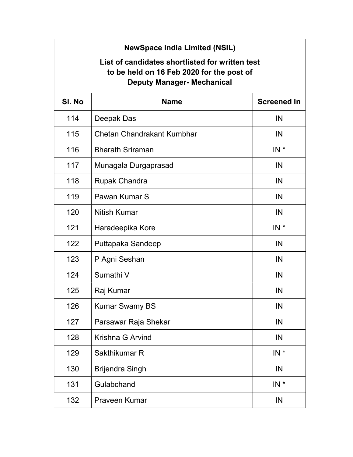| <b>NewSpace India Limited (NSIL)</b><br>List of candidates shortlisted for written test<br>to be held on 16 Feb 2020 for the post of<br><b>Deputy Manager- Mechanical</b> |                                   |                    |
|---------------------------------------------------------------------------------------------------------------------------------------------------------------------------|-----------------------------------|--------------------|
| SI. No                                                                                                                                                                    | <b>Name</b>                       | <b>Screened In</b> |
| 114                                                                                                                                                                       | Deepak Das                        | IN                 |
| 115                                                                                                                                                                       | <b>Chetan Chandrakant Kumbhar</b> | IN                 |
| 116                                                                                                                                                                       | <b>Bharath Sriraman</b>           | $IN^*$             |
| 117                                                                                                                                                                       | Munagala Durgaprasad              | IN                 |
| 118                                                                                                                                                                       | <b>Rupak Chandra</b>              | IN                 |
| 119                                                                                                                                                                       | Pawan Kumar S                     | IN                 |
| 120                                                                                                                                                                       | <b>Nitish Kumar</b>               | IN                 |
| 121                                                                                                                                                                       | Haradeepika Kore                  | $IN^*$             |
| 122                                                                                                                                                                       | Puttapaka Sandeep                 | IN                 |
| 123                                                                                                                                                                       | P Agni Seshan                     | IN                 |
| 124                                                                                                                                                                       | Sumathi V                         | IN                 |
| 125                                                                                                                                                                       | Raj Kumar                         | IN                 |
| 126                                                                                                                                                                       | <b>Kumar Swamy BS</b>             | IN                 |
| 127                                                                                                                                                                       | Parsawar Raja Shekar              | IN                 |
| 128                                                                                                                                                                       | Krishna G Arvind                  | IN                 |
| 129                                                                                                                                                                       | Sakthikumar R                     | $IN^*$             |
| 130                                                                                                                                                                       | <b>Brijendra Singh</b>            | IN                 |
| 131                                                                                                                                                                       | Gulabchand                        | $IN^*$             |
| 132                                                                                                                                                                       | <b>Praveen Kumar</b>              | IN                 |